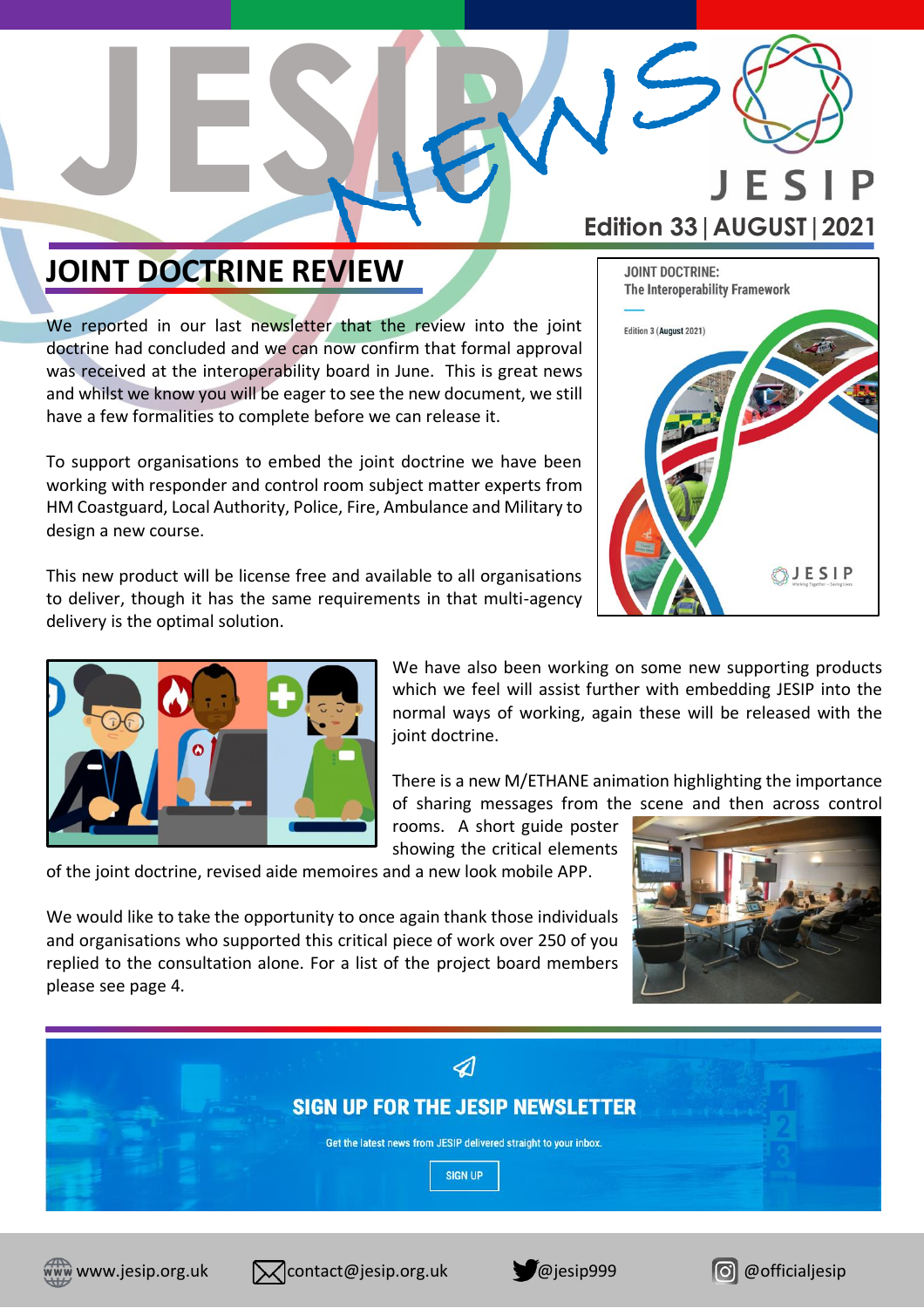

**JOINT DOCTRINE:** 

Edition 3 (August 2021)

The Interoperability Framework

### **JOINT DOCTRINE REVIEW**

We reported in our last newsletter that the review into the joint doctrine had concluded and we can now confirm that formal approval was received at the interoperability board in June. This is great news and whilst we know you will be eager to see the new document, we still have a few formalities to complete before we can release it.

**JESIP**

To support organisations to embed the joint doctrine we have been working with responder and control room subject matter experts from HM Coastguard, Local Authority, Police, Fire, Ambulance and Military to design a new course.

This new product will be license free and available to all organisations to deliver, though it has the same requirements in that multi-agency delivery is the optimal solution.



We have also been working on some new supporting products which we feel will assist further with embedding JESIP into the normal ways of working, again these will be released with the joint doctrine.

There is a new M/ETHANE animation highlighting the importance of sharing messages from the scene and then across control

rooms. A short guide poster showing the critical elements

of the joint doctrine, revised aide memoires and a new look mobile APP.

We would like to take the opportunity to once again thank those individuals and organisations who supported this critical piece of work over 250 of you replied to the consultation alone. For a list of the project board members please see page 4.





**SIGN UP** 









**BJESIP**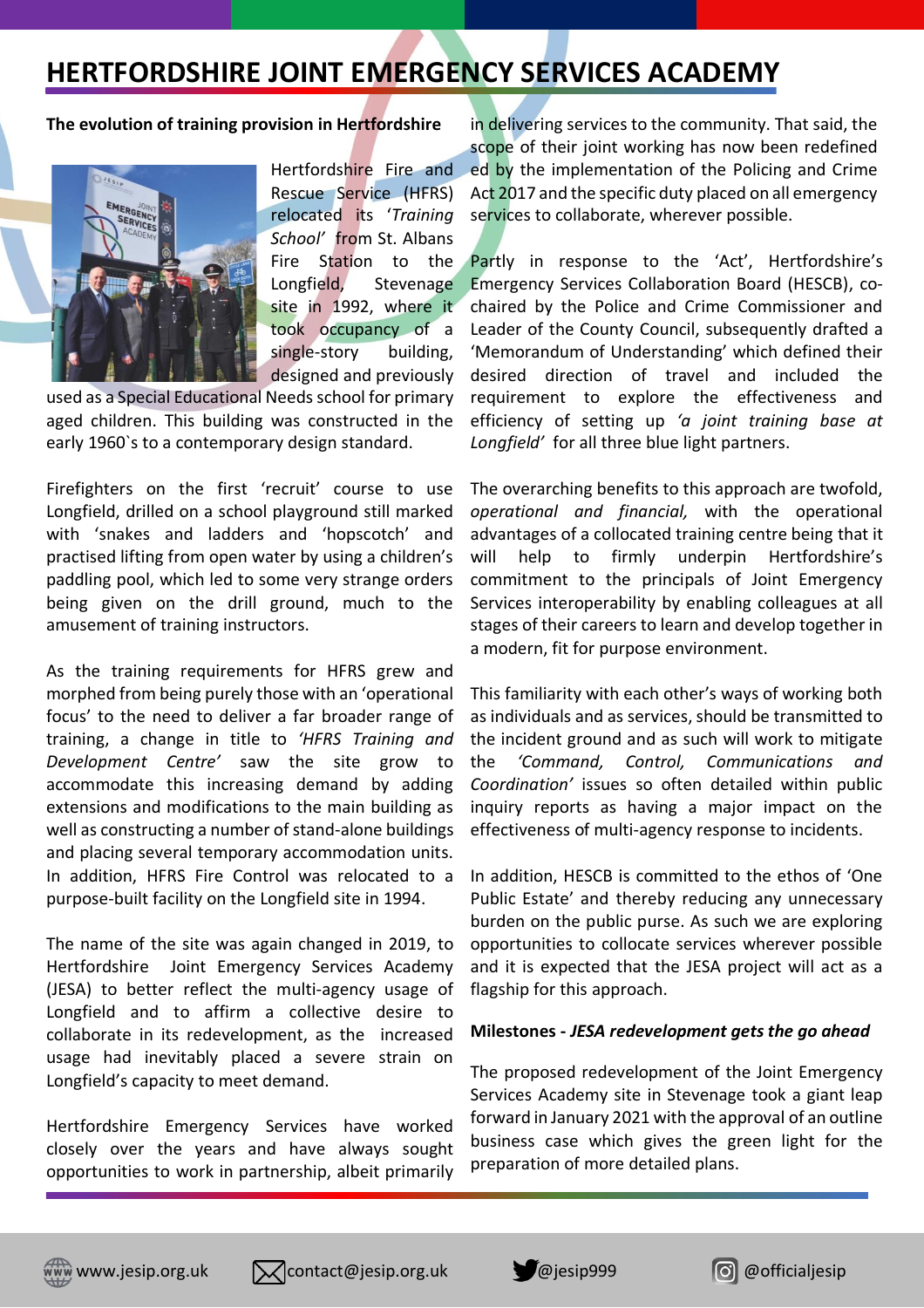### **HERTFORDSHIRE JOINT EMERGENCY SERVICES ACADEMY**

#### **The evolution of training provision in Hertfordshire**



Hertfordshire Fire and Rescue Service (HFRS) relocated its '*Training School'* from St. Albans Fire Station to the Longfield, Stevenage site in 1992, where it took occupancy of a single-story building, designed and previously

used as a Special Educational Needs school for primary aged children. This building was constructed in the early 1960`s to a contemporary design standard.

Firefighters on the first 'recruit' course to use Longfield, drilled on a school playground still marked with 'snakes and ladders and 'hopscotch' and practised lifting from open water by using a children's paddling pool, which led to some very strange orders being given on the drill ground, much to the amusement of training instructors.

As the training requirements for HFRS grew and morphed from being purely those with an 'operational focus' to the need to deliver a far broader range of training, a change in title to *'HFRS Training and Development Centre'* saw the site grow to accommodate this increasing demand by adding extensions and modifications to the main building as well as constructing a number of stand-alone buildings and placing several temporary accommodation units. In addition, HFRS Fire Control was relocated to a purpose-built facility on the Longfield site in 1994.

The name of the site was again changed in 2019, to Hertfordshire Joint Emergency Services Academy (JESA) to better reflect the multi-agency usage of Longfield and to affirm a collective desire to collaborate in its redevelopment, as the increased usage had inevitably placed a severe strain on Longfield's capacity to meet demand.

Hertfordshire Emergency Services have worked closely over the years and have always sought opportunities to work in partnership, albeit primarily

in delivering services to the community. That said, the scope of their joint working has now been redefined ed by the implementation of the Policing and Crime Act 2017 and the specific duty placed on all emergency services to collaborate, wherever possible.

Partly in response to the 'Act', Hertfordshire's Emergency Services Collaboration Board (HESCB), cochaired by the Police and Crime Commissioner and Leader of the County Council, subsequently drafted a 'Memorandum of Understanding' which defined their desired direction of travel and included the requirement to explore the effectiveness and efficiency of setting up *'a joint training base at Longfield'* for all three blue light partners.

The overarching benefits to this approach are twofold, *operational and financial,* with the operational advantages of a collocated training centre being that it will help to firmly underpin Hertfordshire's commitment to the principals of Joint Emergency Services interoperability by enabling colleagues at all stages of their careers to learn and develop together in a modern, fit for purpose environment.

This familiarity with each other's ways of working both as individuals and as services, should be transmitted to the incident ground and as such will work to mitigate the *'Command, Control, Communications and Coordination'* issues so often detailed within public inquiry reports as having a major impact on the effectiveness of multi-agency response to incidents.

In addition, HESCB is committed to the ethos of 'One Public Estate' and thereby reducing any unnecessary burden on the public purse. As such we are exploring opportunities to collocate services wherever possible and it is expected that the JESA project will act as a flagship for this approach.

#### **Milestones -** *JESA redevelopment gets the go ahead*

The proposed redevelopment of the Joint Emergency Services Academy site in Stevenage took a giant leap forward in January 2021 with the approval of an outline business case which gives the green light for the preparation of more detailed plans.







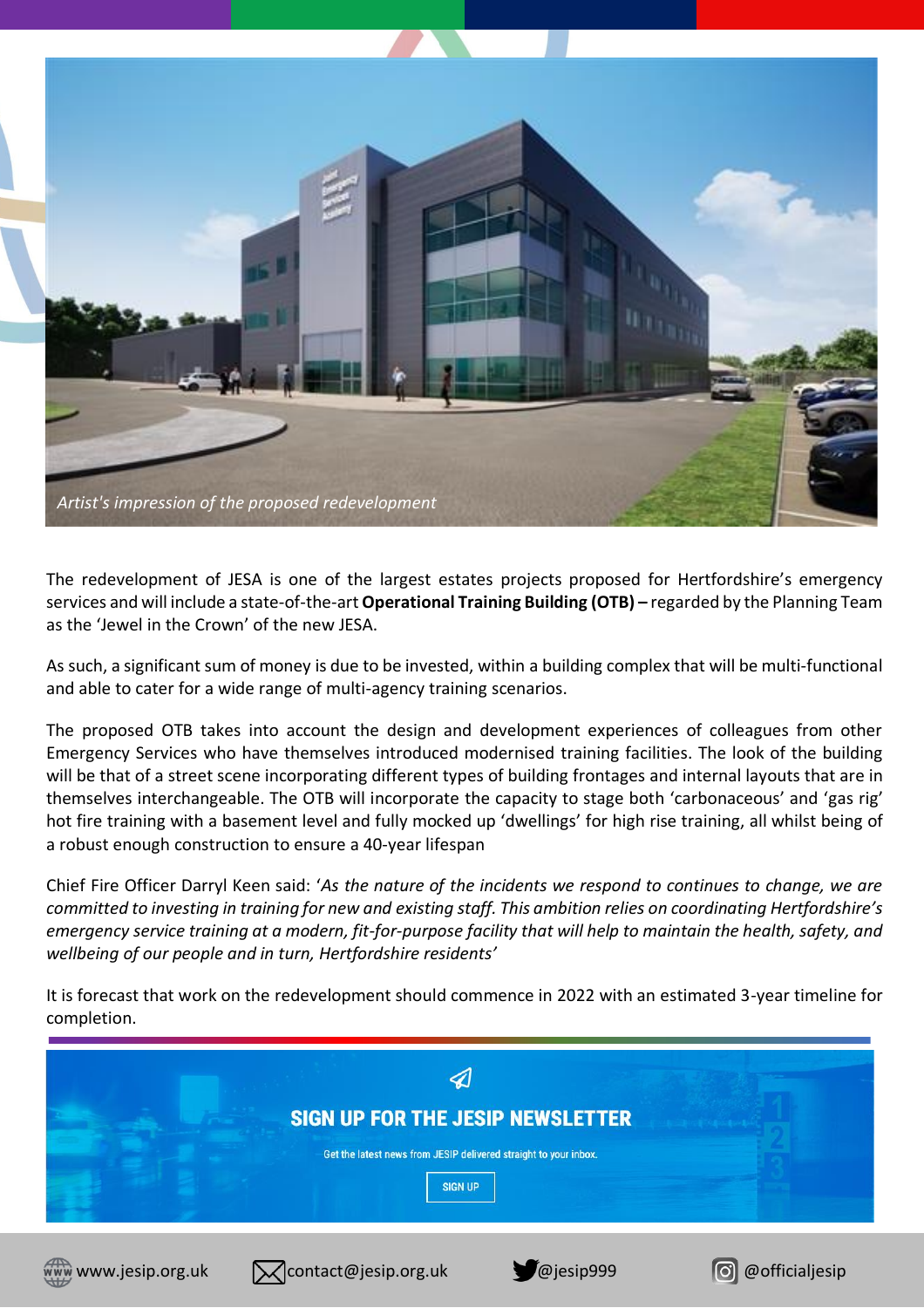

The redevelopment of JESA is one of the largest estates projects proposed for Hertfordshire's emergency services and will include a state-of-the-art**Operational Training Building (OTB) –** regarded by the Planning Team as the 'Jewel in the Crown' of the new JESA.

As such, a significant sum of money is due to be invested, within a building complex that will be multi-functional and able to cater for a wide range of multi-agency training scenarios.

The proposed OTB takes into account the design and development experiences of colleagues from other Emergency Services who have themselves introduced modernised training facilities. The look of the building will be that of a street scene incorporating different types of building frontages and internal layouts that are in themselves interchangeable. The OTB will incorporate the capacity to stage both 'carbonaceous' and 'gas rig' hot fire training with a basement level and fully mocked up 'dwellings' for high rise training, all whilst being of a robust enough construction to ensure a 40-year lifespan

Chief Fire Officer Darryl Keen said: '*As the nature of the incidents we respond to continues to change, we are committed to investing in training for new and existing staff. This ambition relies on coordinating Hertfordshire's emergency service training at a modern, fit-for-purpose facility that will help to maintain the health, safety, and wellbeing of our people and in turn, Hertfordshire residents'*

It is forecast that work on the redevelopment should commence in 2022 with an estimated 3-year timeline for completion.









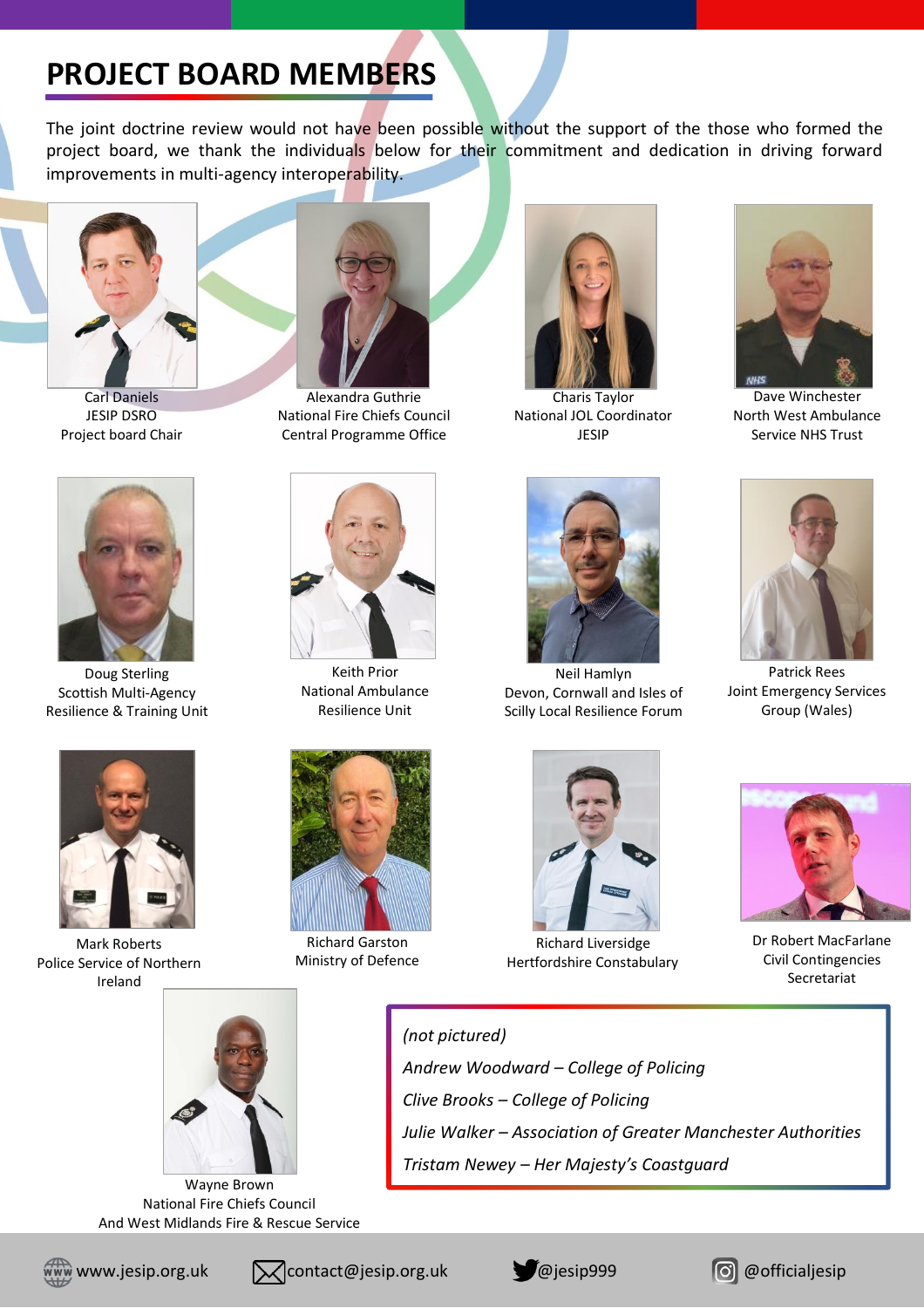## **PROJECT BOARD MEMBERS**

The joint doctrine review would not have been possible without the support of the those who formed the project board, we thank the individuals below for their commitment and dedication in driving forward improvements in multi-agency interoperability.



Carl Daniels JESIP DSRO Project board Chair



Doug Sterling Scottish Multi-Agency Resilience & Training Unit



Mark Roberts Police Service of Northern Ireland



Alexandra Guthrie National Fire Chiefs Council Central Programme Office



Keith Prior National Ambulance Resilience Unit



Richard Garston Ministry of Defence

*(not pictured)*



Charis Taylor National JOL Coordinator JESIP



Neil Hamlyn Devon, Cornwall and Isles of Scilly Local Resilience Forum



Dave Winchester North West Ambulance Service NHS Trust



Patrick Rees Joint Emergency Services Group (Wales)



Richard Liversidge Hertfordshire Constabulary

*Julie Walker – Association of Greater Manchester Authorities*



Dr Robert MacFarlane Civil Contingencies Secretariat



Wayne Brown National Fire Chiefs Council And West Midlands Fire & Rescue Service







*Tristam Newey – Her Majesty's Coastguard*

*Andrew Woodward – College of Policing*

*Clive Brooks – College of Policing*